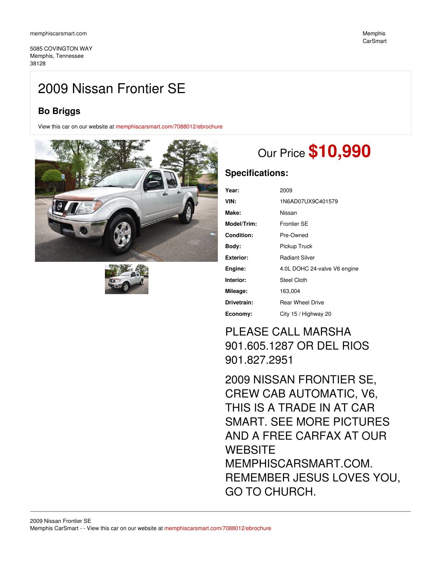5085 COVINGTON WAY Memphis, Tennessee 38128

# 2009 Nissan Frontier SE

## **Bo Briggs**

View this car on our website at [memphiscarsmart.com/7088012/ebrochure](https://memphiscarsmart.com/vehicle/7088012/2009-nissan-frontier-se-memphis-tennessee-38128/7088012/ebrochure)





# Our Price **\$10,990**

## **Specifications:**

| Year:             | 2009                         |
|-------------------|------------------------------|
| VIN:              | 1N6AD07UX9C401579            |
| Make:             | Nissan                       |
| Model/Trim:       | <b>Frontier SE</b>           |
| <b>Condition:</b> | Pre-Owned                    |
| Body:             | Pickup Truck                 |
| <b>Exterior:</b>  | <b>Radiant Silver</b>        |
| Engine:           | 4.0L DOHC 24-valve V6 engine |
| Interior:         | Steel Cloth                  |
| Mileage:          | 163,004                      |
| Drivetrain:       | <b>Rear Wheel Drive</b>      |
| Economy:          | City 15 / Highway 20         |

## PLEASE CALL MARSHA 901.605.1287 OR DEL RIOS 901.827.2951

2009 NISSAN FRONTIER SE, CREW CAB AUTOMATIC, V6, THIS IS A TRADE IN AT CAR SMART. SEE MORE PICTURES AND A FREE CARFAX AT OUR **WEBSITE** MEMPHISCARSMART.COM. REMEMBER JESUS LOVES YOU, GO TO CHURCH.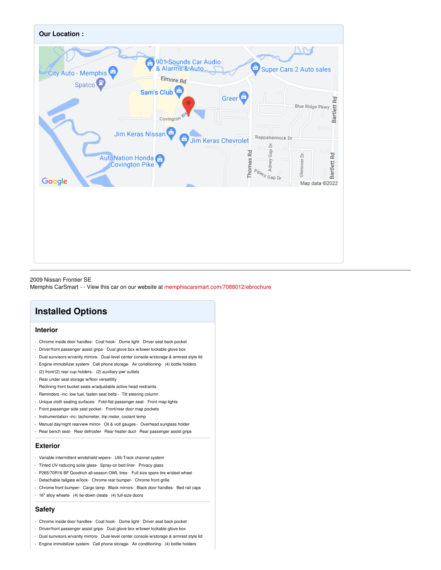

2009 Nissan Frontier SE Memphis CarSmart - - View this car on our website at [memphiscarsmart.com/7088012/ebrochure](https://memphiscarsmart.com/vehicle/7088012/2009-nissan-frontier-se-memphis-tennessee-38128/7088012/ebrochure)

## **Installed Options**

#### **Interior**

- Chrome inside door handles- Coat hook- Dome light- Driver seat back pocket
- Driver/front passenger assist grips- Dual glove box w/lower lockable glove box
- Dual sunvisors w/vanity mirrors- Dual-level center console w/storage & armrest style lid
- Engine immobilizer system- Cell phone storage- Air conditioning- (4) bottle holders
- (2) front/(2) rear cup holders- (2) auxiliary pwr outlets
- Rear under seat storage w/floor versatility
- Reclining front bucket seats w/adjustable active head restraints
- Reminders -inc: low fuel, fasten seat belts Tilt steering column
- Unique cloth seating surfaces- Fold-flat passenger seat- Front map lights
- Front passenger side seat pocket- Front/rear door map pockets
- Instrumentation -inc: tachometer, trip meter, coolant temp
- Manual day/night rearview mirror- Oil & volt gauges Overhead sunglass holder
- Rear bench seat- Rear defroster- Rear heater duct- Rear passenger assist grips

### **Exterior**

- Variable intermittent windshield wipers- Utili-Track channel system
- Tinted UV-reducing solar glass- Spray-on bed liner- Privacy glass
- P265/70R16 BF Goodrich all-season OWL tires- Full size spare tire w/steel wheel
- Detachable tailgate w/lock- Chrome rear bumper- Chrome front grille
- Chrome front bumper- Cargo lamp- Black mirrors- Black door handles- Bed rail caps
- 16" alloy wheels- (4) tie-down cleats- (4) full-size doors

#### **Safety**

- Chrome inside door handles- Coat hook- Dome light- Driver seat back pocket
- Driver/front passenger assist grips- Dual glove box w/lower lockable glove box
- Dual sunvisors w/vanity mirrors- Dual-level center console w/storage & armrest style lid
- Engine immobilizer system- Cell phone storage- Air conditioning- (4) bottle holders